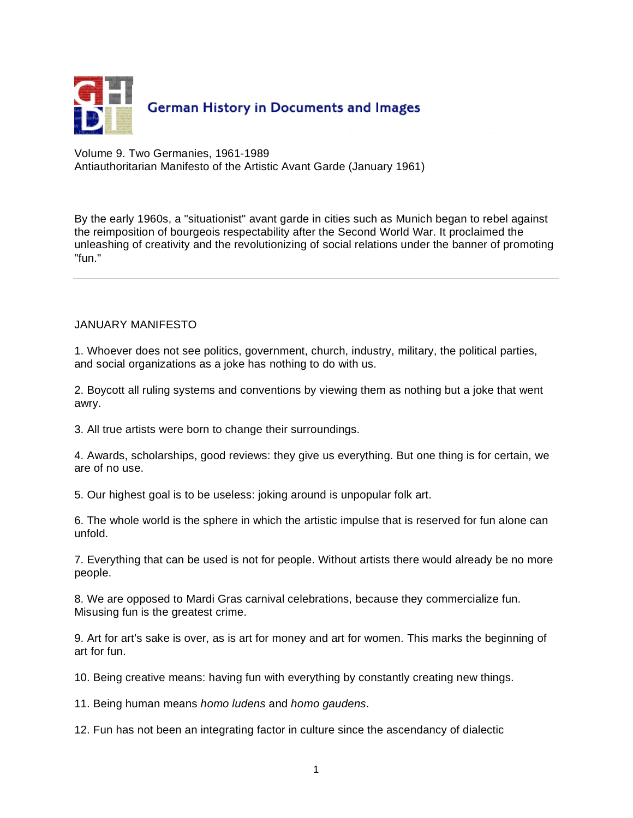

Volume 9. Two Germanies, 1961-1989 Antiauthoritarian Manifesto of the Artistic Avant Garde (January 1961)

By the early 1960s, a "situationist" avant garde in cities such as Munich began to rebel against the reimposition of bourgeois respectability after the Second World War. It proclaimed the unleashing of creativity and the revolutionizing of social relations under the banner of promoting "fun."

## JANUARY MANIFESTO

1. Whoever does not see politics, government, church, industry, military, the political parties, and social organizations as a joke has nothing to do with us.

2. Boycott all ruling systems and conventions by viewing them as nothing but a joke that went awry.

3. All true artists were born to change their surroundings.

4. Awards, scholarships, good reviews: they give us everything. But one thing is for certain, we are of no use.

5. Our highest goal is to be useless: joking around is unpopular folk art.

6. The whole world is the sphere in which the artistic impulse that is reserved for fun alone can unfold.

7. Everything that can be used is not for people. Without artists there would already be no more people.

8. We are opposed to Mardi Gras carnival celebrations, because they commercialize fun. Misusing fun is the greatest crime.

9. Art for art's sake is over, as is art for money and art for women. This marks the beginning of art for fun.

10. Being creative means: having fun with everything by constantly creating new things.

11. Being human means *homo ludens* and *homo gaudens*.

12. Fun has not been an integrating factor in culture since the ascendancy of dialectic